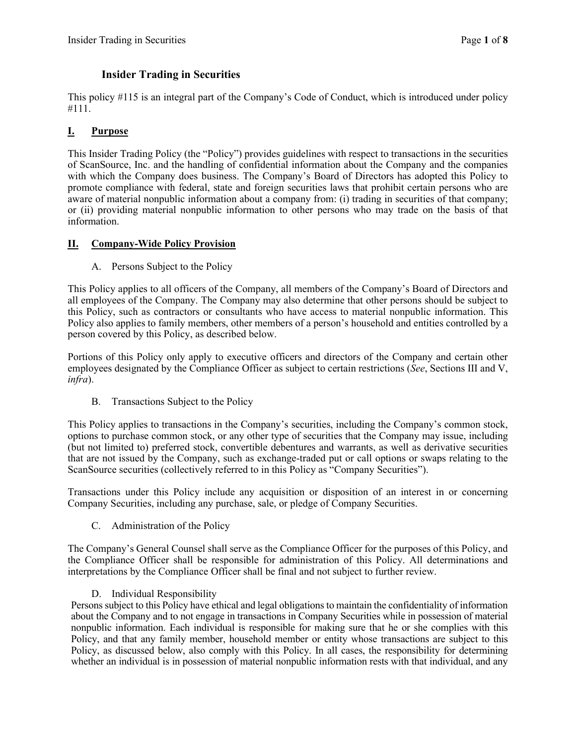# **Insider Trading in Securities**

This policy #115 is an integral part of the Company's Code of Conduct, which is introduced under policy #111.

# **I. Purpose**

This Insider Trading Policy (the "Policy") provides guidelines with respect to transactions in the securities of ScanSource, Inc. and the handling of confidential information about the Company and the companies with which the Company does business. The Company's Board of Directors has adopted this Policy to promote compliance with federal, state and foreign securities laws that prohibit certain persons who are aware of material nonpublic information about a company from: (i) trading in securities of that company; or (ii) providing material nonpublic information to other persons who may trade on the basis of that information.

## **II. Company-Wide Policy Provision**

A. Persons Subject to the Policy

This Policy applies to all officers of the Company, all members of the Company's Board of Directors and all employees of the Company. The Company may also determine that other persons should be subject to this Policy, such as contractors or consultants who have access to material nonpublic information. This Policy also applies to family members, other members of a person's household and entities controlled by a person covered by this Policy, as described below.

Portions of this Policy only apply to executive officers and directors of the Company and certain other employees designated by the Compliance Officer as subject to certain restrictions (*See*, Sections III and V, *infra*).

B. Transactions Subject to the Policy

This Policy applies to transactions in the Company's securities, including the Company's common stock, options to purchase common stock, or any other type of securities that the Company may issue, including (but not limited to) preferred stock, convertible debentures and warrants, as well as derivative securities that are not issued by the Company, such as exchange-traded put or call options or swaps relating to the ScanSource securities (collectively referred to in this Policy as "Company Securities").

Transactions under this Policy include any acquisition or disposition of an interest in or concerning Company Securities, including any purchase, sale, or pledge of Company Securities.

C. Administration of the Policy

The Company's General Counsel shall serve as the Compliance Officer for the purposes of this Policy, and the Compliance Officer shall be responsible for administration of this Policy. All determinations and interpretations by the Compliance Officer shall be final and not subject to further review.

### D. Individual Responsibility

Persons subject to this Policy have ethical and legal obligations to maintain the confidentiality of information about the Company and to not engage in transactions in Company Securities while in possession of material nonpublic information. Each individual is responsible for making sure that he or she complies with this Policy, and that any family member, household member or entity whose transactions are subject to this Policy, as discussed below, also comply with this Policy. In all cases, the responsibility for determining whether an individual is in possession of material nonpublic information rests with that individual, and any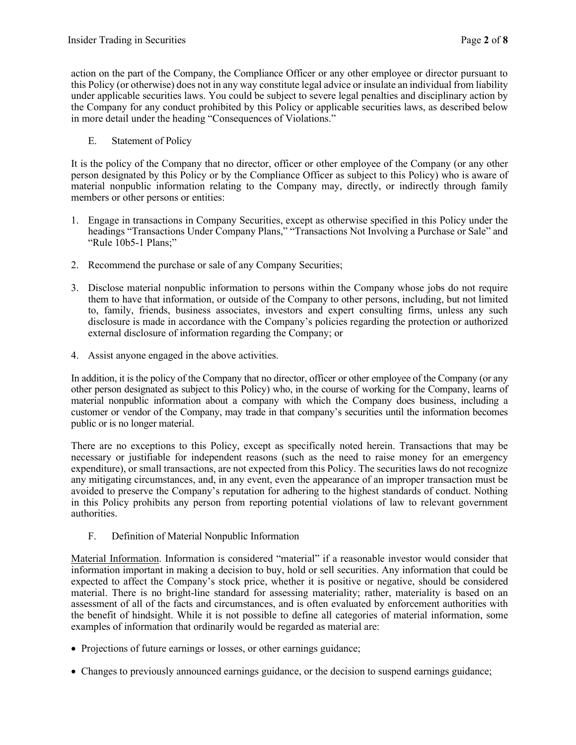action on the part of the Company, the Compliance Officer or any other employee or director pursuant to this Policy (or otherwise) does not in any way constitute legal advice or insulate an individual from liability under applicable securities laws. You could be subject to severe legal penalties and disciplinary action by the Company for any conduct prohibited by this Policy or applicable securities laws, as described below in more detail under the heading "Consequences of Violations."

E. Statement of Policy

It is the policy of the Company that no director, officer or other employee of the Company (or any other person designated by this Policy or by the Compliance Officer as subject to this Policy) who is aware of material nonpublic information relating to the Company may, directly, or indirectly through family members or other persons or entities:

- 1. Engage in transactions in Company Securities, except as otherwise specified in this Policy under the headings "Transactions Under Company Plans," "Transactions Not Involving a Purchase or Sale" and "Rule 10b5-1 Plans;"
- 2. Recommend the purchase or sale of any Company Securities;
- 3. Disclose material nonpublic information to persons within the Company whose jobs do not require them to have that information, or outside of the Company to other persons, including, but not limited to, family, friends, business associates, investors and expert consulting firms, unless any such disclosure is made in accordance with the Company's policies regarding the protection or authorized external disclosure of information regarding the Company; or
- 4. Assist anyone engaged in the above activities.

In addition, it is the policy of the Company that no director, officer or other employee of the Company (or any other person designated as subject to this Policy) who, in the course of working for the Company, learns of material nonpublic information about a company with which the Company does business, including a customer or vendor of the Company, may trade in that company's securities until the information becomes public or is no longer material.

There are no exceptions to this Policy, except as specifically noted herein. Transactions that may be necessary or justifiable for independent reasons (such as the need to raise money for an emergency expenditure), or small transactions, are not expected from this Policy. The securities laws do not recognize any mitigating circumstances, and, in any event, even the appearance of an improper transaction must be avoided to preserve the Company's reputation for adhering to the highest standards of conduct. Nothing in this Policy prohibits any person from reporting potential violations of law to relevant government authorities.

F. Definition of Material Nonpublic Information

Material Information. Information is considered "material" if a reasonable investor would consider that information important in making a decision to buy, hold or sell securities. Any information that could be expected to affect the Company's stock price, whether it is positive or negative, should be considered material. There is no bright-line standard for assessing materiality; rather, materiality is based on an assessment of all of the facts and circumstances, and is often evaluated by enforcement authorities with the benefit of hindsight. While it is not possible to define all categories of material information, some examples of information that ordinarily would be regarded as material are:

- Projections of future earnings or losses, or other earnings guidance;
- Changes to previously announced earnings guidance, or the decision to suspend earnings guidance;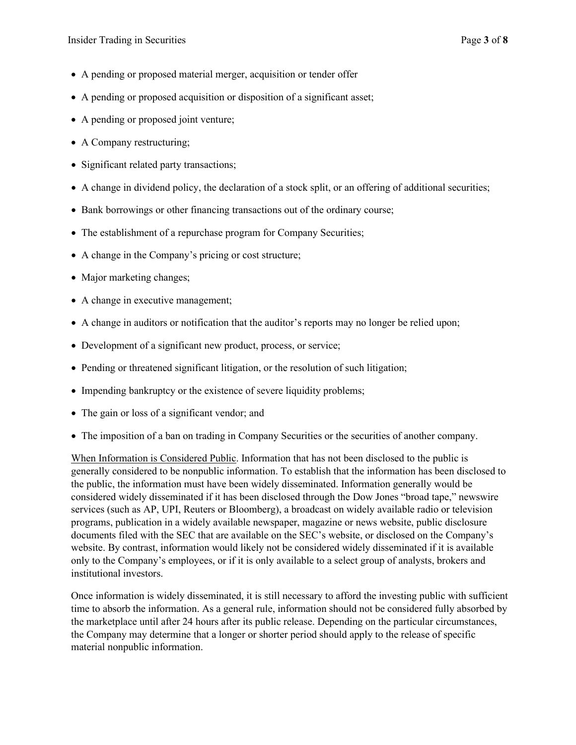- A pending or proposed material merger, acquisition or tender offer
- A pending or proposed acquisition or disposition of a significant asset;
- A pending or proposed joint venture;
- A Company restructuring;
- Significant related party transactions;
- A change in dividend policy, the declaration of a stock split, or an offering of additional securities;
- Bank borrowings or other financing transactions out of the ordinary course;
- The establishment of a repurchase program for Company Securities;
- A change in the Company's pricing or cost structure;
- Major marketing changes;
- A change in executive management;
- A change in auditors or notification that the auditor's reports may no longer be relied upon;
- Development of a significant new product, process, or service;
- Pending or threatened significant litigation, or the resolution of such litigation;
- Impending bankruptcy or the existence of severe liquidity problems;
- The gain or loss of a significant vendor; and
- The imposition of a ban on trading in Company Securities or the securities of another company.

When Information is Considered Public. Information that has not been disclosed to the public is generally considered to be nonpublic information. To establish that the information has been disclosed to the public, the information must have been widely disseminated. Information generally would be considered widely disseminated if it has been disclosed through the Dow Jones "broad tape," newswire services (such as AP, UPI, Reuters or Bloomberg), a broadcast on widely available radio or television programs, publication in a widely available newspaper, magazine or news website, public disclosure documents filed with the SEC that are available on the SEC's website, or disclosed on the Company's website. By contrast, information would likely not be considered widely disseminated if it is available only to the Company's employees, or if it is only available to a select group of analysts, brokers and institutional investors.

Once information is widely disseminated, it is still necessary to afford the investing public with sufficient time to absorb the information. As a general rule, information should not be considered fully absorbed by the marketplace until after 24 hours after its public release. Depending on the particular circumstances, the Company may determine that a longer or shorter period should apply to the release of specific material nonpublic information.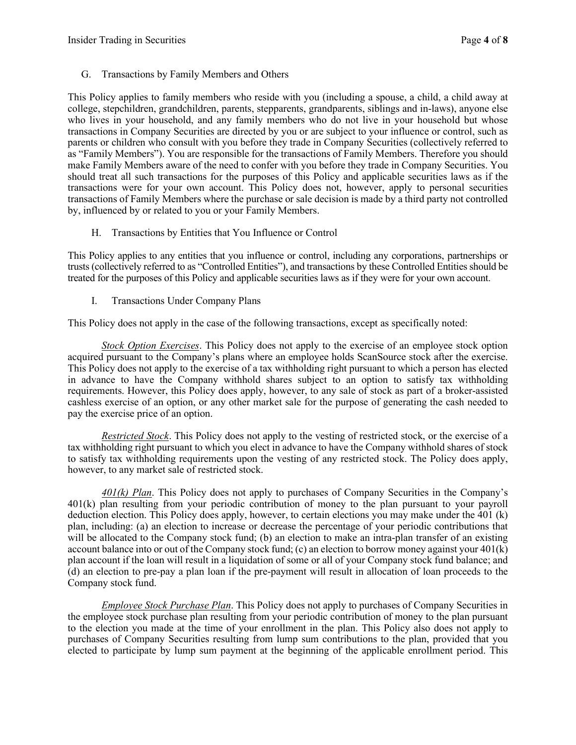G. Transactions by Family Members and Others

This Policy applies to family members who reside with you (including a spouse, a child, a child away at college, stepchildren, grandchildren, parents, stepparents, grandparents, siblings and in-laws), anyone else who lives in your household, and any family members who do not live in your household but whose transactions in Company Securities are directed by you or are subject to your influence or control, such as parents or children who consult with you before they trade in Company Securities (collectively referred to as "Family Members"). You are responsible for the transactions of Family Members. Therefore you should make Family Members aware of the need to confer with you before they trade in Company Securities. You should treat all such transactions for the purposes of this Policy and applicable securities laws as if the transactions were for your own account. This Policy does not, however, apply to personal securities transactions of Family Members where the purchase or sale decision is made by a third party not controlled by, influenced by or related to you or your Family Members.

H. Transactions by Entities that You Influence or Control

This Policy applies to any entities that you influence or control, including any corporations, partnerships or trusts (collectively referred to as "Controlled Entities"), and transactions by these Controlled Entities should be treated for the purposes of this Policy and applicable securities laws as if they were for your own account.

I. Transactions Under Company Plans

This Policy does not apply in the case of the following transactions, except as specifically noted:

*Stock Option Exercises*. This Policy does not apply to the exercise of an employee stock option acquired pursuant to the Company's plans where an employee holds ScanSource stock after the exercise. This Policy does not apply to the exercise of a tax withholding right pursuant to which a person has elected in advance to have the Company withhold shares subject to an option to satisfy tax withholding requirements. However, this Policy does apply, however, to any sale of stock as part of a broker-assisted cashless exercise of an option, or any other market sale for the purpose of generating the cash needed to pay the exercise price of an option.

*Restricted Stock*. This Policy does not apply to the vesting of restricted stock, or the exercise of a tax withholding right pursuant to which you elect in advance to have the Company withhold shares of stock to satisfy tax withholding requirements upon the vesting of any restricted stock. The Policy does apply, however, to any market sale of restricted stock.

*401(k) Plan*. This Policy does not apply to purchases of Company Securities in the Company's 401(k) plan resulting from your periodic contribution of money to the plan pursuant to your payroll deduction election. This Policy does apply, however, to certain elections you may make under the 401 (k) plan, including: (a) an election to increase or decrease the percentage of your periodic contributions that will be allocated to the Company stock fund; (b) an election to make an intra-plan transfer of an existing account balance into or out of the Company stock fund; (c) an election to borrow money against your  $401(k)$ plan account if the loan will result in a liquidation of some or all of your Company stock fund balance; and (d) an election to pre-pay a plan loan if the pre-payment will result in allocation of loan proceeds to the Company stock fund.

*Employee Stock Purchase Plan*. This Policy does not apply to purchases of Company Securities in the employee stock purchase plan resulting from your periodic contribution of money to the plan pursuant to the election you made at the time of your enrollment in the plan. This Policy also does not apply to purchases of Company Securities resulting from lump sum contributions to the plan, provided that you elected to participate by lump sum payment at the beginning of the applicable enrollment period. This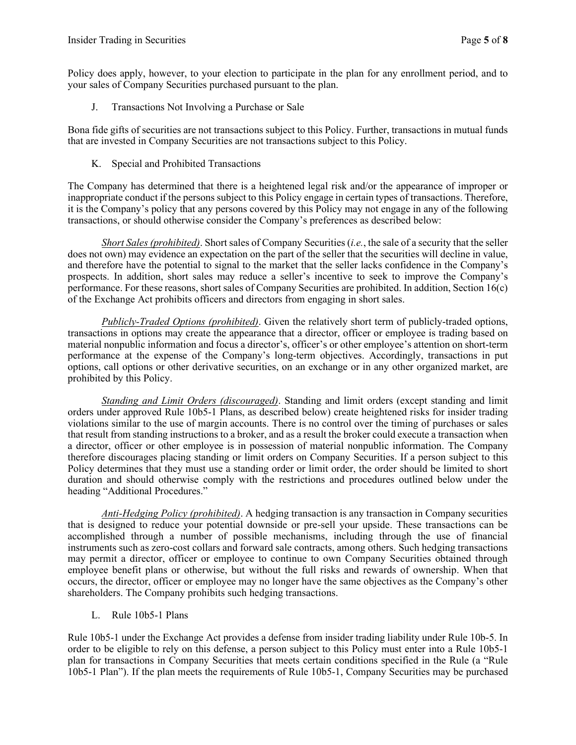Policy does apply, however, to your election to participate in the plan for any enrollment period, and to your sales of Company Securities purchased pursuant to the plan.

J. Transactions Not Involving a Purchase or Sale

Bona fide gifts of securities are not transactions subject to this Policy. Further, transactions in mutual funds that are invested in Company Securities are not transactions subject to this Policy.

K. Special and Prohibited Transactions

The Company has determined that there is a heightened legal risk and/or the appearance of improper or inappropriate conduct if the persons subject to this Policy engage in certain types of transactions. Therefore, it is the Company's policy that any persons covered by this Policy may not engage in any of the following transactions, or should otherwise consider the Company's preferences as described below:

*Short Sales (prohibited)*. Short sales of Company Securities (*i.e.*, the sale of a security that the seller does not own) may evidence an expectation on the part of the seller that the securities will decline in value, and therefore have the potential to signal to the market that the seller lacks confidence in the Company's prospects. In addition, short sales may reduce a seller's incentive to seek to improve the Company's performance. For these reasons, short sales of Company Securities are prohibited. In addition, Section 16(c) of the Exchange Act prohibits officers and directors from engaging in short sales.

*Publicly-Traded Options (prohibited)*. Given the relatively short term of publicly-traded options, transactions in options may create the appearance that a director, officer or employee is trading based on material nonpublic information and focus a director's, officer's or other employee's attention on short-term performance at the expense of the Company's long-term objectives. Accordingly, transactions in put options, call options or other derivative securities, on an exchange or in any other organized market, are prohibited by this Policy.

*Standing and Limit Orders (discouraged)*. Standing and limit orders (except standing and limit orders under approved Rule 10b5-1 Plans, as described below) create heightened risks for insider trading violations similar to the use of margin accounts. There is no control over the timing of purchases or sales that result from standing instructions to a broker, and as a result the broker could execute a transaction when a director, officer or other employee is in possession of material nonpublic information. The Company therefore discourages placing standing or limit orders on Company Securities. If a person subject to this Policy determines that they must use a standing order or limit order, the order should be limited to short duration and should otherwise comply with the restrictions and procedures outlined below under the heading "Additional Procedures."

*Anti-Hedging Policy (prohibited)*. A hedging transaction is any transaction in Company securities that is designed to reduce your potential downside or pre-sell your upside. These transactions can be accomplished through a number of possible mechanisms, including through the use of financial instruments such as zero-cost collars and forward sale contracts, among others. Such hedging transactions may permit a director, officer or employee to continue to own Company Securities obtained through employee benefit plans or otherwise, but without the full risks and rewards of ownership. When that occurs, the director, officer or employee may no longer have the same objectives as the Company's other shareholders. The Company prohibits such hedging transactions.

L. Rule 10b5-1 Plans

Rule 10b5-1 under the Exchange Act provides a defense from insider trading liability under Rule 10b-5. In order to be eligible to rely on this defense, a person subject to this Policy must enter into a Rule 10b5-1 plan for transactions in Company Securities that meets certain conditions specified in the Rule (a "Rule 10b5-1 Plan"). If the plan meets the requirements of Rule 10b5-1, Company Securities may be purchased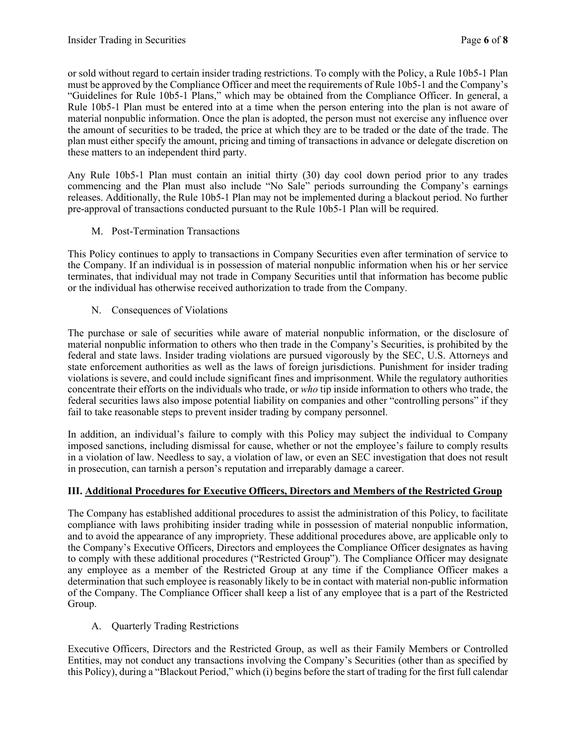or sold without regard to certain insider trading restrictions. To comply with the Policy, a Rule 10b5-1 Plan must be approved by the Compliance Officer and meet the requirements of Rule 10b5-1 and the Company's "Guidelines for Rule 10b5-1 Plans," which may be obtained from the Compliance Officer. In general, a Rule 10b5-1 Plan must be entered into at a time when the person entering into the plan is not aware of material nonpublic information. Once the plan is adopted, the person must not exercise any influence over the amount of securities to be traded, the price at which they are to be traded or the date of the trade. The plan must either specify the amount, pricing and timing of transactions in advance or delegate discretion on these matters to an independent third party.

Any Rule 10b5-1 Plan must contain an initial thirty (30) day cool down period prior to any trades commencing and the Plan must also include "No Sale" periods surrounding the Company's earnings releases. Additionally, the Rule 10b5-1 Plan may not be implemented during a blackout period. No further pre-approval of transactions conducted pursuant to the Rule 10b5-1 Plan will be required.

M. Post-Termination Transactions

This Policy continues to apply to transactions in Company Securities even after termination of service to the Company. If an individual is in possession of material nonpublic information when his or her service terminates, that individual may not trade in Company Securities until that information has become public or the individual has otherwise received authorization to trade from the Company.

N. Consequences of Violations

The purchase or sale of securities while aware of material nonpublic information, or the disclosure of material nonpublic information to others who then trade in the Company's Securities, is prohibited by the federal and state laws. Insider trading violations are pursued vigorously by the SEC, U.S. Attorneys and state enforcement authorities as well as the laws of foreign jurisdictions. Punishment for insider trading violations is severe, and could include significant fines and imprisonment. While the regulatory authorities concentrate their efforts on the individuals who trade, or *who* tip inside information to others who trade, the federal securities laws also impose potential liability on companies and other "controlling persons" if they fail to take reasonable steps to prevent insider trading by company personnel.

In addition, an individual's failure to comply with this Policy may subject the individual to Company imposed sanctions, including dismissal for cause, whether or not the employee's failure to comply results in a violation of law. Needless to say, a violation of law, or even an SEC investigation that does not result in prosecution, can tarnish a person's reputation and irreparably damage a career.

# **III. Additional Procedures for Executive Officers, Directors and Members of the Restricted Group**

The Company has established additional procedures to assist the administration of this Policy, to facilitate compliance with laws prohibiting insider trading while in possession of material nonpublic information, and to avoid the appearance of any impropriety. These additional procedures above, are applicable only to the Company's Executive Officers, Directors and employees the Compliance Officer designates as having to comply with these additional procedures ("Restricted Group"). The Compliance Officer may designate any employee as a member of the Restricted Group at any time if the Compliance Officer makes a determination that such employee is reasonably likely to be in contact with material non-public information of the Company. The Compliance Officer shall keep a list of any employee that is a part of the Restricted Group.

A. Quarterly Trading Restrictions

Executive Officers, Directors and the Restricted Group, as well as their Family Members or Controlled Entities, may not conduct any transactions involving the Company's Securities (other than as specified by this Policy), during a "Blackout Period," which (i) begins before the start of trading for the first full calendar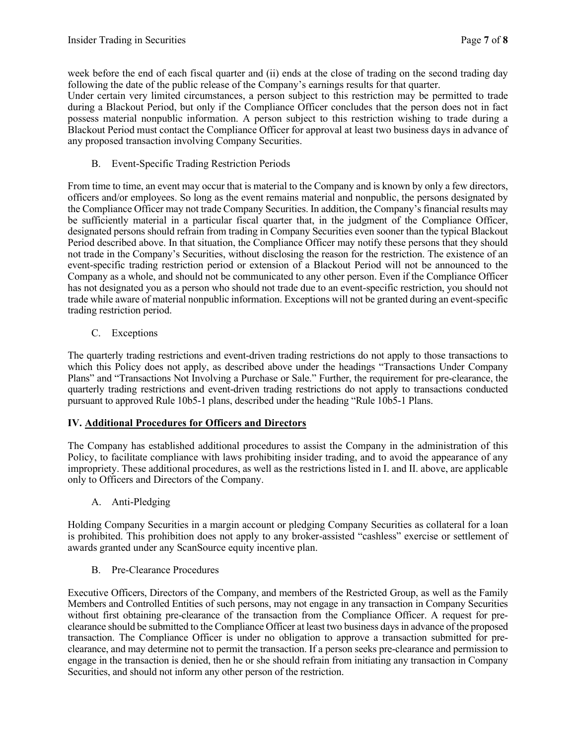week before the end of each fiscal quarter and (ii) ends at the close of trading on the second trading day following the date of the public release of the Company's earnings results for that quarter.

Under certain very limited circumstances, a person subject to this restriction may be permitted to trade during a Blackout Period, but only if the Compliance Officer concludes that the person does not in fact possess material nonpublic information. A person subject to this restriction wishing to trade during a Blackout Period must contact the Compliance Officer for approval at least two business days in advance of any proposed transaction involving Company Securities.

B. Event-Specific Trading Restriction Periods

From time to time, an event may occur that is material to the Company and is known by only a few directors, officers and/or employees. So long as the event remains material and nonpublic, the persons designated by the Compliance Officer may not trade Company Securities. In addition, the Company's financial results may be sufficiently material in a particular fiscal quarter that, in the judgment of the Compliance Officer, designated persons should refrain from trading in Company Securities even sooner than the typical Blackout Period described above. In that situation, the Compliance Officer may notify these persons that they should not trade in the Company's Securities, without disclosing the reason for the restriction. The existence of an event-specific trading restriction period or extension of a Blackout Period will not be announced to the Company as a whole, and should not be communicated to any other person. Even if the Compliance Officer has not designated you as a person who should not trade due to an event-specific restriction, you should not trade while aware of material nonpublic information. Exceptions will not be granted during an event-specific trading restriction period.

C. Exceptions

The quarterly trading restrictions and event-driven trading restrictions do not apply to those transactions to which this Policy does not apply, as described above under the headings "Transactions Under Company Plans" and "Transactions Not Involving a Purchase or Sale." Further, the requirement for pre-clearance, the quarterly trading restrictions and event-driven trading restrictions do not apply to transactions conducted pursuant to approved Rule 10b5-1 plans, described under the heading "Rule 10b5-1 Plans.

### **IV. Additional Procedures for Officers and Directors**

The Company has established additional procedures to assist the Company in the administration of this Policy, to facilitate compliance with laws prohibiting insider trading, and to avoid the appearance of any impropriety. These additional procedures, as well as the restrictions listed in I. and II. above, are applicable only to Officers and Directors of the Company.

A. Anti-Pledging

Holding Company Securities in a margin account or pledging Company Securities as collateral for a loan is prohibited. This prohibition does not apply to any broker-assisted "cashless" exercise or settlement of awards granted under any ScanSource equity incentive plan.

B. Pre-Clearance Procedures

Executive Officers, Directors of the Company, and members of the Restricted Group, as well as the Family Members and Controlled Entities of such persons, may not engage in any transaction in Company Securities without first obtaining pre-clearance of the transaction from the Compliance Officer. A request for preclearance should be submitted to the Compliance Officer at least two business days in advance of the proposed transaction. The Compliance Officer is under no obligation to approve a transaction submitted for preclearance, and may determine not to permit the transaction. If a person seeks pre-clearance and permission to engage in the transaction is denied, then he or she should refrain from initiating any transaction in Company Securities, and should not inform any other person of the restriction.